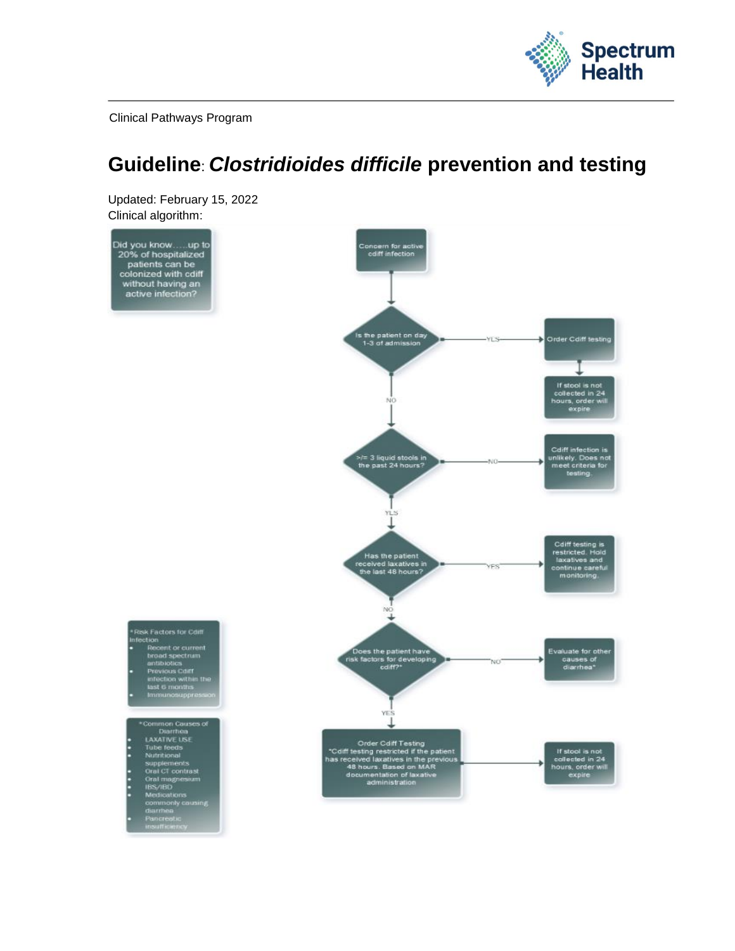

Clinical Pathways Program

# **Guideline**: *Clostridioides difficile* **prevention and testing**

Updated: February 15, 2022 Clinical algorithm:

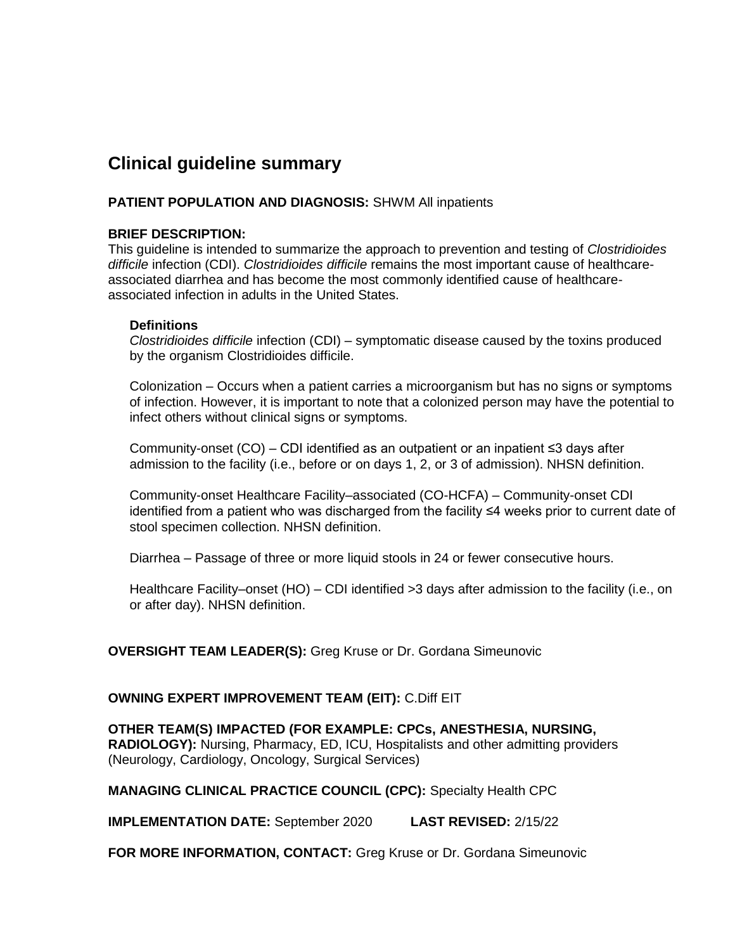### **Clinical guideline summary**

#### **PATIENT POPULATION AND DIAGNOSIS:** SHWM All inpatients

#### **BRIEF DESCRIPTION:**

This guideline is intended to summarize the approach to prevention and testing of *Clostridioides difficile* infection (CDI). *Clostridioides difficile* remains the most important cause of healthcareassociated diarrhea and has become the most commonly identified cause of healthcareassociated infection in adults in the United States.

#### **Definitions**

*Clostridioides difficile* infection (CDI) – symptomatic disease caused by the toxins produced by the organism Clostridioides difficile.

Colonization – Occurs when a patient carries a microorganism but has no signs or symptoms of infection. However, it is important to note that a colonized person may have the potential to infect others without clinical signs or symptoms.

Community-onset (CO) – CDI identified as an outpatient or an inpatient ≤3 days after admission to the facility (i.e., before or on days 1, 2, or 3 of admission). NHSN definition.

Community-onset Healthcare Facility–associated (CO-HCFA) – Community-onset CDI identified from a patient who was discharged from the facility ≤4 weeks prior to current date of stool specimen collection. NHSN definition.

Diarrhea – Passage of three or more liquid stools in 24 or fewer consecutive hours.

Healthcare Facility–onset (HO) – CDI identified >3 days after admission to the facility (i.e., on or after day). NHSN definition.

#### **OVERSIGHT TEAM LEADER(S):** Greg Kruse or Dr. Gordana Simeunovic

#### **OWNING EXPERT IMPROVEMENT TEAM (EIT):** C.Diff EIT

**OTHER TEAM(S) IMPACTED (FOR EXAMPLE: CPCs, ANESTHESIA, NURSING, RADIOLOGY):** Nursing, Pharmacy, ED, ICU, Hospitalists and other admitting providers (Neurology, Cardiology, Oncology, Surgical Services)

**MANAGING CLINICAL PRACTICE COUNCIL (CPC):** Specialty Health CPC

**IMPLEMENTATION DATE:** September 2020 **LAST REVISED:** 2/15/22

**FOR MORE INFORMATION, CONTACT:** Greg Kruse or Dr. Gordana Simeunovic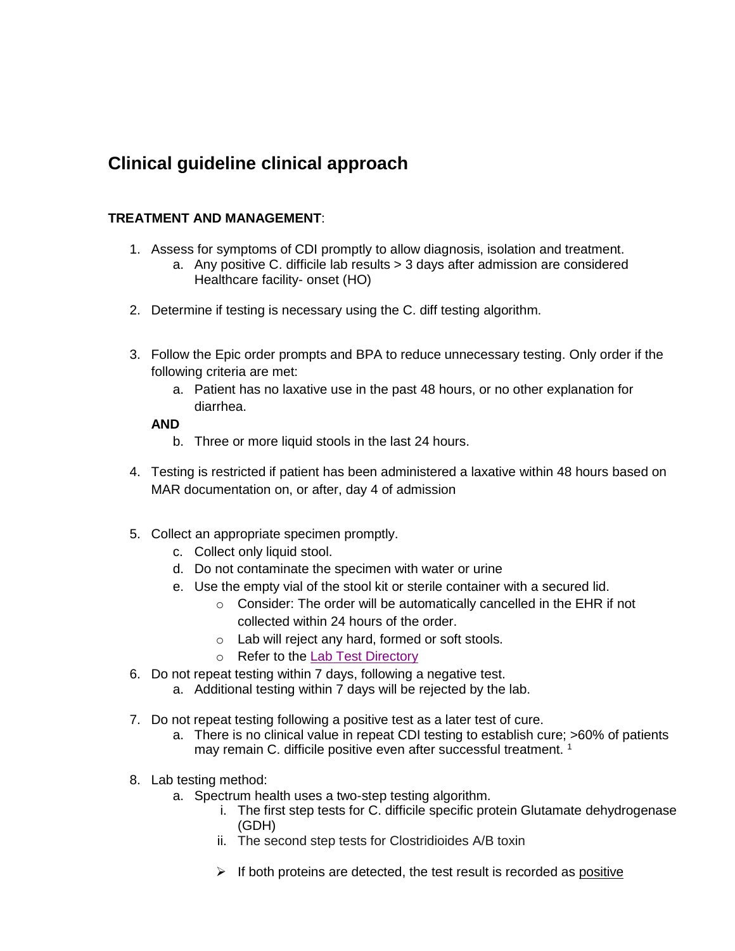## **Clinical guideline clinical approach**

#### **TREATMENT AND MANAGEMENT**:

- 1. Assess for symptoms of CDI promptly to allow diagnosis, isolation and treatment.
	- a. Any positive C. difficile lab results > 3 days after admission are considered Healthcare facility- onset (HO)
- 2. Determine if testing is necessary using the C. diff testing algorithm.
- 3. Follow the Epic order prompts and BPA to reduce unnecessary testing. Only order if the following criteria are met:
	- a. Patient has no laxative use in the past 48 hours, or no other explanation for diarrhea.

#### **AND**

- b. Three or more liquid stools in the last 24 hours.
- 4. Testing is restricted if patient has been administered a laxative within 48 hours based on MAR documentation on, or after, day 4 of admission
- 5. Collect an appropriate specimen promptly.
	- c. Collect only liquid stool.
	- d. Do not contaminate the specimen with water or urine
	- e. Use the empty vial of the stool kit or sterile container with a secured lid.
		- o Consider: The order will be automatically cancelled in the EHR if not collected within 24 hours of the order.
		- o Lab will reject any hard, formed or soft stools.
		- o Refer to the [Lab Test Directory](https://spectrumhealth.testcatalog.org/)
- 6. Do not repeat testing within 7 days, following a negative test.
	- a. Additional testing within 7 days will be rejected by the lab.
- 7. Do not repeat testing following a positive test as a later test of cure.
	- a. There is no clinical value in repeat CDI testing to establish cure; >60% of patients may remain C. difficile positive even after successful treatment.<sup>1</sup>
- 8. Lab testing method:
	- a. Spectrum health uses a two-step testing algorithm.
		- i. The first step tests for C. difficile specific protein Glutamate dehydrogenase (GDH)
		- ii. The second step tests for Clostridioides A/B toxin
		- $\triangleright$  If both proteins are detected, the test result is recorded as positive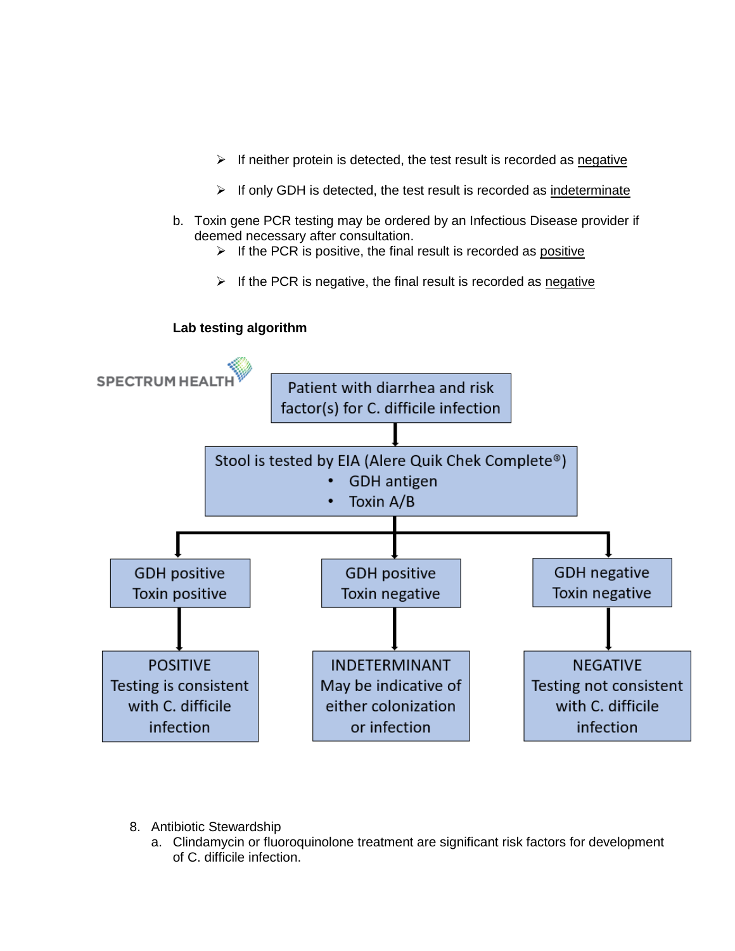- $\triangleright$  If neither protein is detected, the test result is recorded as negative
- ➢ If only GDH is detected, the test result is recorded as indeterminate
- b. Toxin gene PCR testing may be ordered by an Infectious Disease provider if deemed necessary after consultation.
	- $\triangleright$  If the PCR is positive, the final result is recorded as positive
	- $\triangleright$  If the PCR is negative, the final result is recorded as negative



- 8. Antibiotic Stewardship
	- a. Clindamycin or fluoroquinolone treatment are significant risk factors for development of C. difficile infection.